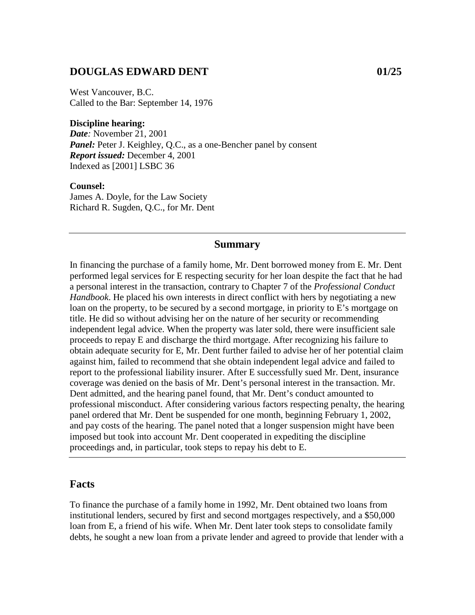### **DOUGLAS EDWARD DENT 01/25**

West Vancouver, B.C. Called to the Bar: September 14, 1976

#### **Discipline hearing:**

*Date:* November 21, 2001 *Panel:* Peter J. Keighley, Q.C., as a one-Bencher panel by consent *Report issued:* December 4, 2001 Indexed as [2001] LSBC 36

#### **Counsel:**

James A. Doyle, for the Law Society Richard R. Sugden, Q.C., for Mr. Dent

#### **Summary**

In financing the purchase of a family home, Mr. Dent borrowed money from E. Mr. Dent performed legal services for E respecting security for her loan despite the fact that he had a personal interest in the transaction, contrary to Chapter 7 of the *Professional Conduct Handbook*. He placed his own interests in direct conflict with hers by negotiating a new loan on the property, to be secured by a second mortgage, in priority to E's mortgage on title. He did so without advising her on the nature of her security or recommending independent legal advice. When the property was later sold, there were insufficient sale proceeds to repay E and discharge the third mortgage. After recognizing his failure to obtain adequate security for E, Mr. Dent further failed to advise her of her potential claim against him, failed to recommend that she obtain independent legal advice and failed to report to the professional liability insurer. After E successfully sued Mr. Dent, insurance coverage was denied on the basis of Mr. Dent's personal interest in the transaction. Mr. Dent admitted, and the hearing panel found, that Mr. Dent's conduct amounted to professional misconduct. After considering various factors respecting penalty, the hearing panel ordered that Mr. Dent be suspended for one month, beginning February 1, 2002, and pay costs of the hearing. The panel noted that a longer suspension might have been imposed but took into account Mr. Dent cooperated in expediting the discipline proceedings and, in particular, took steps to repay his debt to E.

#### **Facts**

To finance the purchase of a family home in 1992, Mr. Dent obtained two loans from institutional lenders, secured by first and second mortgages respectively, and a \$50,000 loan from E, a friend of his wife. When Mr. Dent later took steps to consolidate family debts, he sought a new loan from a private lender and agreed to provide that lender with a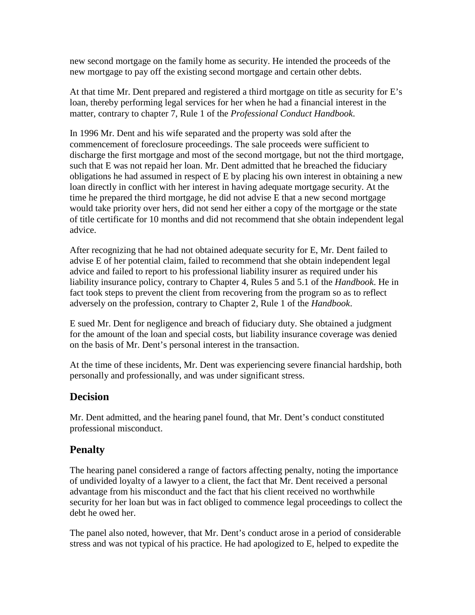new second mortgage on the family home as security. He intended the proceeds of the new mortgage to pay off the existing second mortgage and certain other debts.

At that time Mr. Dent prepared and registered a third mortgage on title as security for E's loan, thereby performing legal services for her when he had a financial interest in the matter, contrary to chapter 7, Rule 1 of the *Professional Conduct Handbook*.

In 1996 Mr. Dent and his wife separated and the property was sold after the commencement of foreclosure proceedings. The sale proceeds were sufficient to discharge the first mortgage and most of the second mortgage, but not the third mortgage, such that E was not repaid her loan. Mr. Dent admitted that he breached the fiduciary obligations he had assumed in respect of E by placing his own interest in obtaining a new loan directly in conflict with her interest in having adequate mortgage security. At the time he prepared the third mortgage, he did not advise E that a new second mortgage would take priority over hers, did not send her either a copy of the mortgage or the state of title certificate for 10 months and did not recommend that she obtain independent legal advice.

After recognizing that he had not obtained adequate security for E, Mr. Dent failed to advise E of her potential claim, failed to recommend that she obtain independent legal advice and failed to report to his professional liability insurer as required under his liability insurance policy, contrary to Chapter 4, Rules 5 and 5.1 of the *Handbook*. He in fact took steps to prevent the client from recovering from the program so as to reflect adversely on the profession, contrary to Chapter 2, Rule 1 of the *Handbook*.

E sued Mr. Dent for negligence and breach of fiduciary duty. She obtained a judgment for the amount of the loan and special costs, but liability insurance coverage was denied on the basis of Mr. Dent's personal interest in the transaction.

At the time of these incidents, Mr. Dent was experiencing severe financial hardship, both personally and professionally, and was under significant stress.

## **Decision**

Mr. Dent admitted, and the hearing panel found, that Mr. Dent's conduct constituted professional misconduct.

# **Penalty**

The hearing panel considered a range of factors affecting penalty, noting the importance of undivided loyalty of a lawyer to a client, the fact that Mr. Dent received a personal advantage from his misconduct and the fact that his client received no worthwhile security for her loan but was in fact obliged to commence legal proceedings to collect the debt he owed her.

The panel also noted, however, that Mr. Dent's conduct arose in a period of considerable stress and was not typical of his practice. He had apologized to E, helped to expedite the